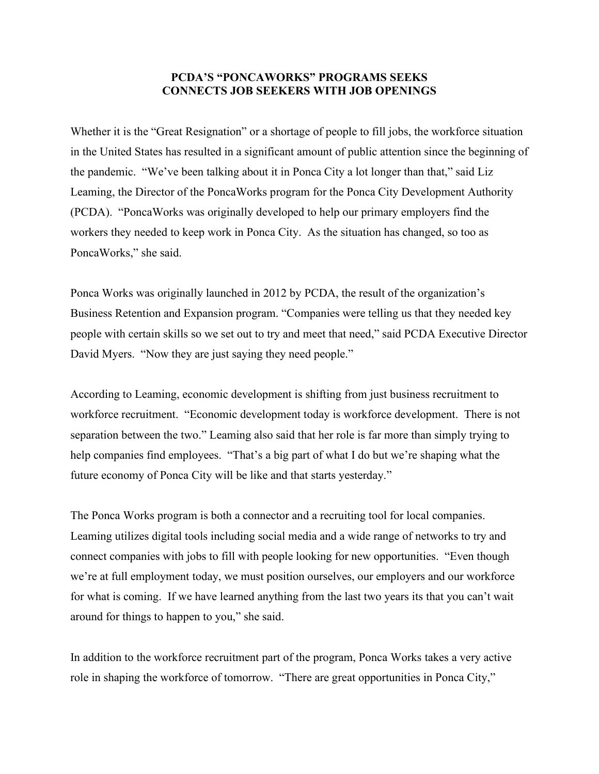## **PCDA'S "PONCAWORKS" PROGRAMS SEEKS CONNECTS JOB SEEKERS WITH JOB OPENINGS**

Whether it is the "Great Resignation" or a shortage of people to fill jobs, the workforce situation in the United States has resulted in a significant amount of public attention since the beginning of the pandemic. "We've been talking about it in Ponca City a lot longer than that," said Liz Leaming, the Director of the PoncaWorks program for the Ponca City Development Authority (PCDA). "PoncaWorks was originally developed to help our primary employers find the workers they needed to keep work in Ponca City. As the situation has changed, so too as PoncaWorks," she said.

Ponca Works was originally launched in 2012 by PCDA, the result of the organization's Business Retention and Expansion program. "Companies were telling us that they needed key people with certain skills so we set out to try and meet that need," said PCDA Executive Director David Myers. "Now they are just saying they need people."

According to Leaming, economic development is shifting from just business recruitment to workforce recruitment. "Economic development today is workforce development. There is not separation between the two." Leaming also said that her role is far more than simply trying to help companies find employees. "That's a big part of what I do but we're shaping what the future economy of Ponca City will be like and that starts yesterday."

The Ponca Works program is both a connector and a recruiting tool for local companies. Leaming utilizes digital tools including social media and a wide range of networks to try and connect companies with jobs to fill with people looking for new opportunities. "Even though we're at full employment today, we must position ourselves, our employers and our workforce for what is coming. If we have learned anything from the last two years its that you can't wait around for things to happen to you," she said.

In addition to the workforce recruitment part of the program, Ponca Works takes a very active role in shaping the workforce of tomorrow. "There are great opportunities in Ponca City,"